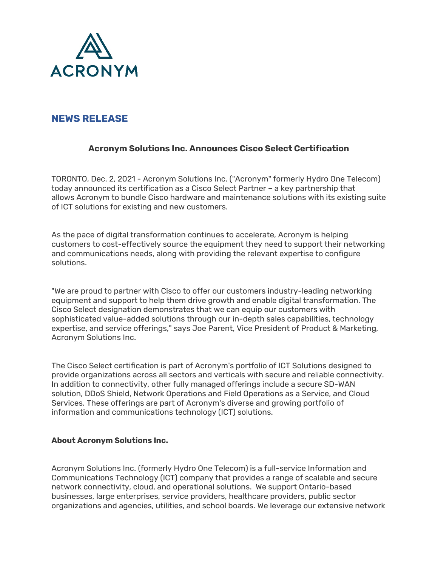

## **NEWS RELEASE**

## **Acronym Solutions Inc. Announces Cisco Select Certification**

TORONTO, Dec. 2, 2021 - Acronym Solutions Inc. ("Acronym" formerly Hydro One Telecom) today announced its certification as a Cisco Select Partner – a key partnership that allows Acronym to bundle Cisco hardware and maintenance solutions with its existing suite of ICT solutions for existing and new customers.

As the pace of digital transformation continues to accelerate, Acronym is helping customers to cost-effectively source the equipment they need to support their networking and communications needs, along with providing the relevant expertise to configure solutions.

"We are proud to partner with Cisco to offer our customers industry-leading networking equipment and support to help them drive growth and enable digital transformation. The Cisco Select designation demonstrates that we can equip our customers with sophisticated value-added solutions through our in-depth sales capabilities, technology expertise, and service offerings," says Joe Parent, Vice President of Product & Marketing, Acronym Solutions Inc.

The Cisco Select certification is part of Acronym's portfolio of ICT Solutions designed to provide organizations across all sectors and verticals with secure and reliable connectivity. In addition to connectivity, other fully managed offerings include a secure SD-WAN solution, DDoS Shield, Network Operations and Field Operations as a Service, and Cloud Services. These offerings are part of Acronym's diverse and growing portfolio of information and communications technology (ICT) solutions.

## **About Acronym Solutions Inc.**

Acronym Solutions Inc. (formerly Hydro One Telecom) is a full-service Information and Communications Technology (ICT) company that provides a range of scalable and secure network connectivity, cloud, and operational solutions. We support Ontario-based businesses, large enterprises, service providers, healthcare providers, public sector organizations and agencies, utilities, and school boards. We leverage our extensive network